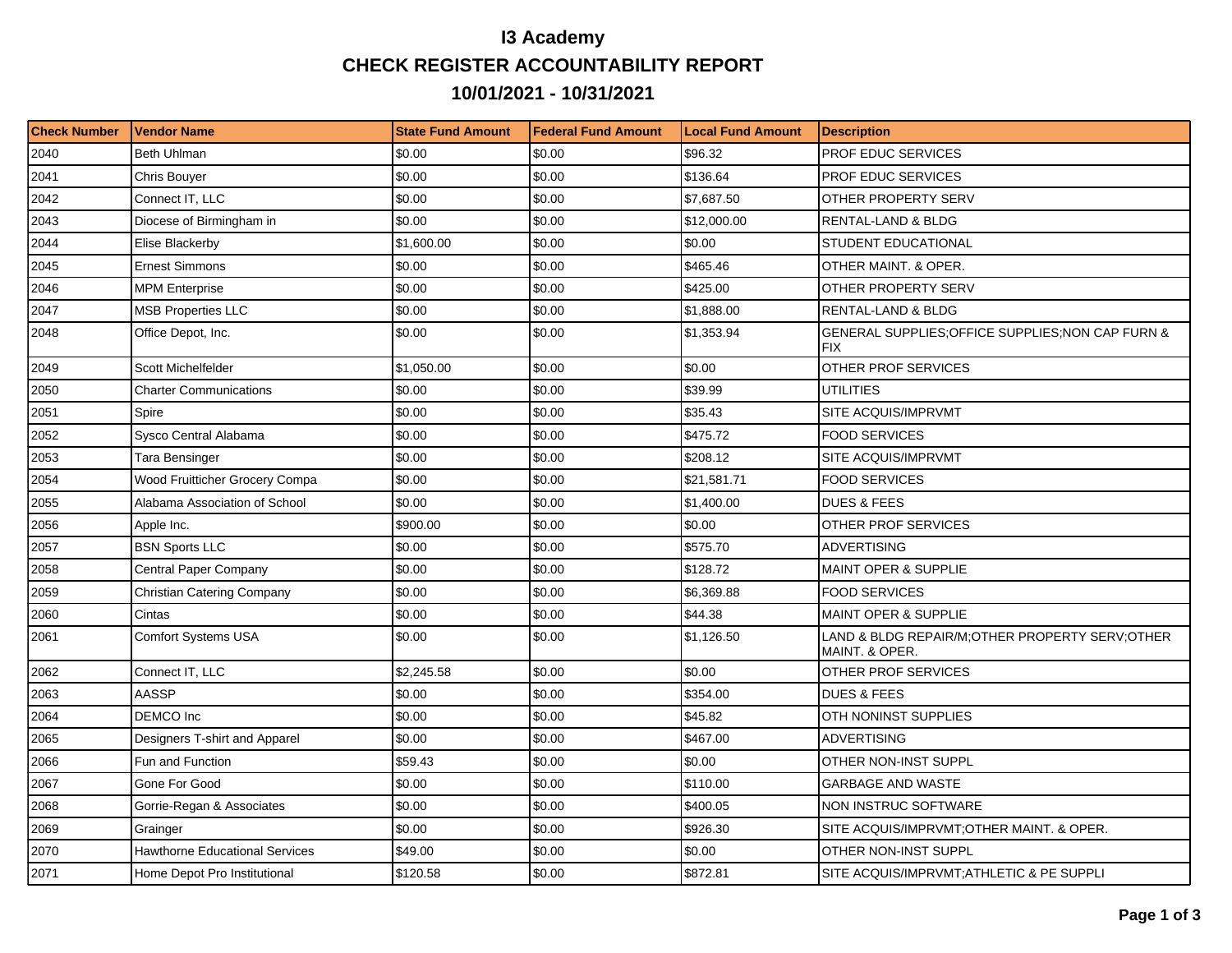## **I3 Academy CHECK REGISTER ACCOUNTABILITY REPORT 10/01/2021 - 10/31/2021**

| <b>Check Number</b> | <b>Vendor Name</b>                    | <b>State Fund Amount</b> | l Federal Fund Amount | <b>Local Fund Amount</b> | <b>Description</b>                                                 |
|---------------------|---------------------------------------|--------------------------|-----------------------|--------------------------|--------------------------------------------------------------------|
| 2040                | Beth Uhlman                           | \$0.00                   | \$0.00                | \$96.32                  | PROF EDUC SERVICES                                                 |
| 2041                | Chris Bouyer                          | \$0.00                   | \$0.00                | \$136.64                 | PROF EDUC SERVICES                                                 |
| 2042                | Connect IT, LLC                       | \$0.00                   | \$0.00                | \$7.687.50               | OTHER PROPERTY SERV                                                |
| 2043                | Diocese of Birmingham in              | \$0.00                   | \$0.00                | \$12,000.00              | RENTAL-LAND & BLDG                                                 |
| 2044                | Elise Blackerby                       | \$1,600.00               | \$0.00                | \$0.00                   | STUDENT EDUCATIONAL                                                |
| 2045                | <b>Ernest Simmons</b>                 | \$0.00                   | \$0.00                | \$465.46                 | OTHER MAINT. & OPER.                                               |
| 2046                | <b>MPM Enterprise</b>                 | \$0.00                   | \$0.00                | \$425.00                 | OTHER PROPERTY SERV                                                |
| 2047                | <b>MSB Properties LLC</b>             | \$0.00                   | \$0.00                | \$1,888.00               | <b>RENTAL-LAND &amp; BLDG</b>                                      |
| 2048                | Office Depot, Inc.                    | \$0.00                   | \$0.00                | \$1,353.94               | GENERAL SUPPLIES; OFFICE SUPPLIES; NON CAP FURN &<br>FIX           |
| 2049                | <b>Scott Michelfelder</b>             | \$1,050.00               | \$0.00                | \$0.00                   | OTHER PROF SERVICES                                                |
| 2050                | <b>Charter Communications</b>         | \$0.00                   | \$0.00                | \$39.99                  | <b>UTILITIES</b>                                                   |
| 2051                | Spire                                 | \$0.00                   | \$0.00                | \$35.43                  | SITE ACQUIS/IMPRVMT                                                |
| 2052                | Sysco Central Alabama                 | \$0.00                   | \$0.00                | \$475.72                 | <b>FOOD SERVICES</b>                                               |
| 2053                | Tara Bensinger                        | \$0.00                   | \$0.00                | \$208.12                 | SITE ACQUIS/IMPRVMT                                                |
| 2054                | Wood Fruitticher Grocery Compa        | \$0.00                   | \$0.00                | \$21,581.71              | <b>FOOD SERVICES</b>                                               |
| 2055                | Alabama Association of School         | \$0.00                   | \$0.00                | \$1,400.00               | <b>DUES &amp; FEES</b>                                             |
| 2056                | Apple Inc.                            | \$900.00                 | \$0.00                | \$0.00                   | OTHER PROF SERVICES                                                |
| 2057                | <b>BSN Sports LLC</b>                 | \$0.00                   | \$0.00                | \$575.70                 | <b>ADVERTISING</b>                                                 |
| 2058                | <b>Central Paper Company</b>          | \$0.00                   | \$0.00                | \$128.72                 | <b>MAINT OPER &amp; SUPPLIE</b>                                    |
| 2059                | Christian Catering Company            | \$0.00                   | \$0.00                | \$6,369.88               | <b>FOOD SERVICES</b>                                               |
| 2060                | Cintas                                | \$0.00                   | \$0.00                | \$44.38                  | MAINT OPER & SUPPLIE                                               |
| 2061                | <b>Comfort Systems USA</b>            | \$0.00                   | \$0.00                | \$1,126.50               | LAND & BLDG REPAIR/M; OTHER PROPERTY SERV; OTHER<br>MAINT. & OPER. |
| 2062                | Connect IT, LLC                       | \$2,245.58               | \$0.00                | \$0.00                   | OTHER PROF SERVICES                                                |
| 2063                | AASSP                                 | \$0.00                   | \$0.00                | \$354.00                 | <b>DUES &amp; FEES</b>                                             |
| 2064                | DEMCO Inc                             | \$0.00                   | \$0.00                | \$45.82                  | OTH NONINST SUPPLIES                                               |
| 2065                | Designers T-shirt and Apparel         | \$0.00                   | \$0.00                | \$467.00                 | <b>ADVERTISING</b>                                                 |
| 2066                | Fun and Function                      | \$59.43                  | \$0.00                | \$0.00                   | OTHER NON-INST SUPPL                                               |
| 2067                | Gone For Good                         | \$0.00                   | \$0.00                | \$110.00                 | <b>GARBAGE AND WASTE</b>                                           |
| 2068                | Gorrie-Regan & Associates             | \$0.00                   | \$0.00                | \$400.05                 | <b>NON INSTRUC SOFTWARE</b>                                        |
| 2069                | Grainger                              | \$0.00                   | \$0.00                | \$926.30                 | SITE ACQUIS/IMPRVMT; OTHER MAINT. & OPER.                          |
| 2070                | <b>Hawthorne Educational Services</b> | \$49.00                  | \$0.00                | \$0.00                   | OTHER NON-INST SUPPL                                               |
| 2071                | Home Depot Pro Institutional          | \$120.58                 | \$0.00                | \$872.81                 | SITE ACQUIS/IMPRVMT;ATHLETIC & PE SUPPLI                           |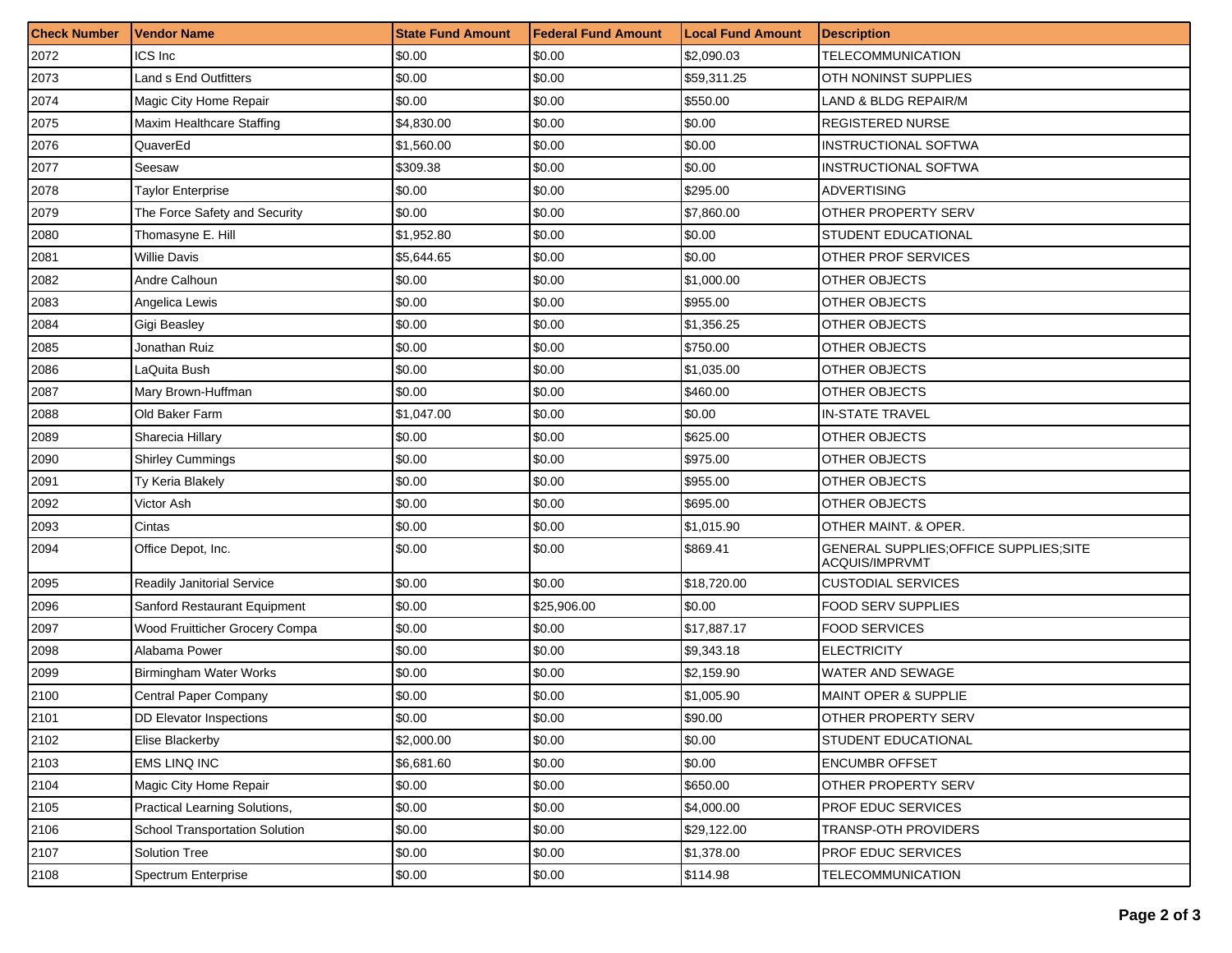| <b>Check Number</b> | <b>Vendor Name</b>                | <b>State Fund Amount</b> | <b>Federal Fund Amount</b> | <b>Local Fund Amount</b> | <b>Description</b>                                        |
|---------------------|-----------------------------------|--------------------------|----------------------------|--------------------------|-----------------------------------------------------------|
| 2072                | ICS Inc                           | \$0.00                   | \$0.00                     | \$2,090.03               | <b>TELECOMMUNICATION</b>                                  |
| 2073                | Land s End Outfitters             | \$0.00                   | \$0.00                     | \$59,311.25              | OTH NONINST SUPPLIES                                      |
| 2074                | Magic City Home Repair            | \$0.00                   | \$0.00                     | \$550.00                 | LAND & BLDG REPAIR/M                                      |
| 2075                | Maxim Healthcare Staffing         | \$4,830.00               | \$0.00                     | \$0.00                   | <b>REGISTERED NURSE</b>                                   |
| 2076                | QuaverEd                          | \$1,560.00               | \$0.00                     | \$0.00                   | INSTRUCTIONAL SOFTWA                                      |
| 2077                | Seesaw                            | \$309.38                 | \$0.00                     | \$0.00                   | INSTRUCTIONAL SOFTWA                                      |
| 2078                | Taylor Enterprise                 | \$0.00                   | \$0.00                     | \$295.00                 | <b>ADVERTISING</b>                                        |
| 2079                | The Force Safety and Security     | \$0.00                   | \$0.00                     | \$7,860.00               | OTHER PROPERTY SERV                                       |
| 2080                | Thomasyne E. Hill                 | \$1,952.80               | \$0.00                     | \$0.00                   | STUDENT EDUCATIONAL                                       |
| 2081                | <b>Willie Davis</b>               | \$5,644.65               | \$0.00                     | \$0.00                   | OTHER PROF SERVICES                                       |
| 2082                | Andre Calhoun                     | \$0.00                   | \$0.00                     | \$1,000.00               | <b>OTHER OBJECTS</b>                                      |
| 2083                | Angelica Lewis                    | \$0.00                   | \$0.00                     | \$955.00                 | OTHER OBJECTS                                             |
| 2084                | Gigi Beasley                      | \$0.00                   | \$0.00                     | \$1.356.25               | OTHER OBJECTS                                             |
| 2085                | Jonathan Ruiz                     | \$0.00                   | \$0.00                     | \$750.00                 | OTHER OBJECTS                                             |
| 2086                | LaQuita Bush                      | \$0.00                   | \$0.00                     | \$1,035.00               | OTHER OBJECTS                                             |
| 2087                | Mary Brown-Huffman                | \$0.00                   | \$0.00                     | \$460.00                 | <b>OTHER OBJECTS</b>                                      |
| 2088                | Old Baker Farm                    | \$1,047.00               | \$0.00                     | \$0.00                   | <b>IN-STATE TRAVEL</b>                                    |
| 2089                | Sharecia Hillary                  | \$0.00                   | \$0.00                     | \$625.00                 | OTHER OBJECTS                                             |
| 2090                | <b>Shirley Cummings</b>           | \$0.00                   | \$0.00                     | \$975.00                 | <b>OTHER OBJECTS</b>                                      |
| 2091                | Ty Keria Blakely                  | \$0.00                   | \$0.00                     | \$955.00                 | OTHER OBJECTS                                             |
| 2092                | Victor Ash                        | \$0.00                   | \$0.00                     | \$695.00                 | <b>OTHER OBJECTS</b>                                      |
| 2093                | Cintas                            | \$0.00                   | \$0.00                     | \$1,015.90               | OTHER MAINT. & OPER.                                      |
| 2094                | Office Depot, Inc.                | \$0.00                   | \$0.00                     | \$869.41                 | GENERAL SUPPLIES; OFFICE SUPPLIES; SITE<br>ACQUIS/IMPRVMT |
| 2095                | <b>Readily Janitorial Service</b> | \$0.00                   | \$0.00                     | \$18,720.00              | <b>CUSTODIAL SERVICES</b>                                 |
| 2096                | Sanford Restaurant Equipment      | \$0.00                   | \$25,906.00                | \$0.00                   | <b>FOOD SERV SUPPLIES</b>                                 |
| 2097                | Wood Fruitticher Grocery Compa    | \$0.00                   | \$0.00                     | \$17,887.17              | <b>FOOD SERVICES</b>                                      |
| 2098                | Alabama Power                     | \$0.00                   | \$0.00                     | \$9,343.18               | <b>ELECTRICITY</b>                                        |
| 2099                | Birmingham Water Works            | \$0.00                   | \$0.00                     | \$2,159.90               | <b>WATER AND SEWAGE</b>                                   |
| 2100                | Central Paper Company             | \$0.00                   | \$0.00                     | \$1,005.90               | <b>MAINT OPER &amp; SUPPLIE</b>                           |
| 2101                | DD Elevator Inspections           | \$0.00                   | \$0.00                     | \$90.00                  | OTHER PROPERTY SERV                                       |
| 2102                | Elise Blackerby                   | \$2,000.00               | \$0.00                     | \$0.00                   | STUDENT EDUCATIONAL                                       |
| 2103                | EMS LINQ INC                      | \$6,681.60               | \$0.00                     | \$0.00                   | <b>ENCUMBR OFFSET</b>                                     |
| 2104                | Magic City Home Repair            | \$0.00                   | \$0.00                     | \$650.00                 | <b>OTHER PROPERTY SERV</b>                                |
| 2105                | Practical Learning Solutions,     | \$0.00                   | \$0.00                     | \$4,000.00               | PROF EDUC SERVICES                                        |
| 2106                | School Transportation Solution    | \$0.00                   | \$0.00                     | \$29,122.00              | TRANSP-OTH PROVIDERS                                      |
| 2107                | Solution Tree                     | \$0.00                   | \$0.00                     | \$1,378.00               | PROF EDUC SERVICES                                        |
| 2108                | Spectrum Enterprise               | \$0.00                   | \$0.00                     | \$114.98                 | TELECOMMUNICATION                                         |